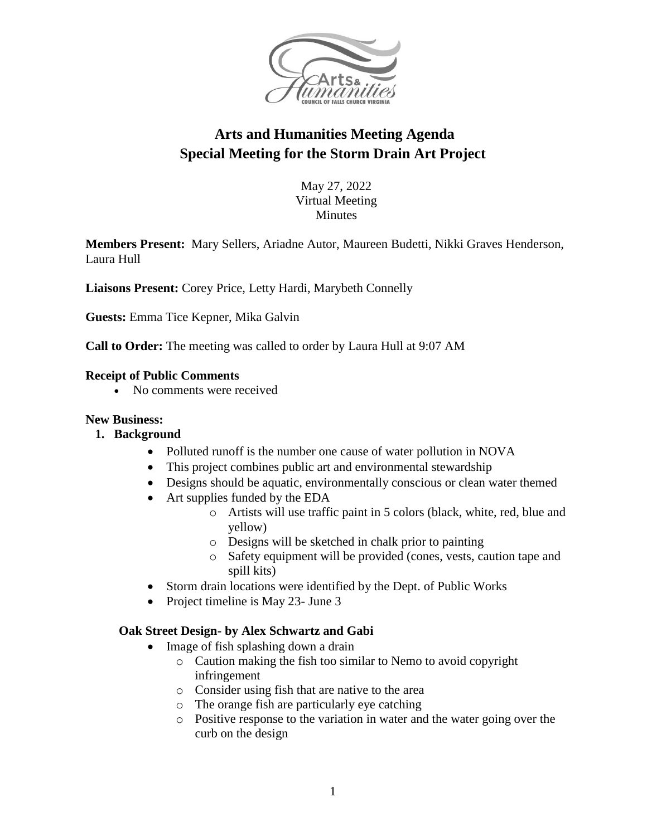

# **Arts and Humanities Meeting Agenda Special Meeting for the Storm Drain Art Project**

May 27, 2022 Virtual Meeting **Minutes** 

**Members Present:** Mary Sellers, Ariadne Autor, Maureen Budetti, Nikki Graves Henderson, Laura Hull

**Liaisons Present:** Corey Price, Letty Hardi, Marybeth Connelly

**Guests:** Emma Tice Kepner, Mika Galvin

**Call to Order:** The meeting was called to order by Laura Hull at 9:07 AM

#### **Receipt of Public Comments**

• No comments were received

#### **New Business:**

#### **1. Background**

- Polluted runoff is the number one cause of water pollution in NOVA
- This project combines public art and environmental stewardship
- Designs should be aquatic, environmentally conscious or clean water themed
- Art supplies funded by the EDA
	- o Artists will use traffic paint in 5 colors (black, white, red, blue and yellow)
	- o Designs will be sketched in chalk prior to painting
	- o Safety equipment will be provided (cones, vests, caution tape and spill kits)
- Storm drain locations were identified by the Dept. of Public Works
- Project timeline is May 23- June 3

## **Oak Street Design- by Alex Schwartz and Gabi**

- Image of fish splashing down a drain
	- o Caution making the fish too similar to Nemo to avoid copyright infringement
	- o Consider using fish that are native to the area
	- o The orange fish are particularly eye catching
	- o Positive response to the variation in water and the water going over the curb on the design